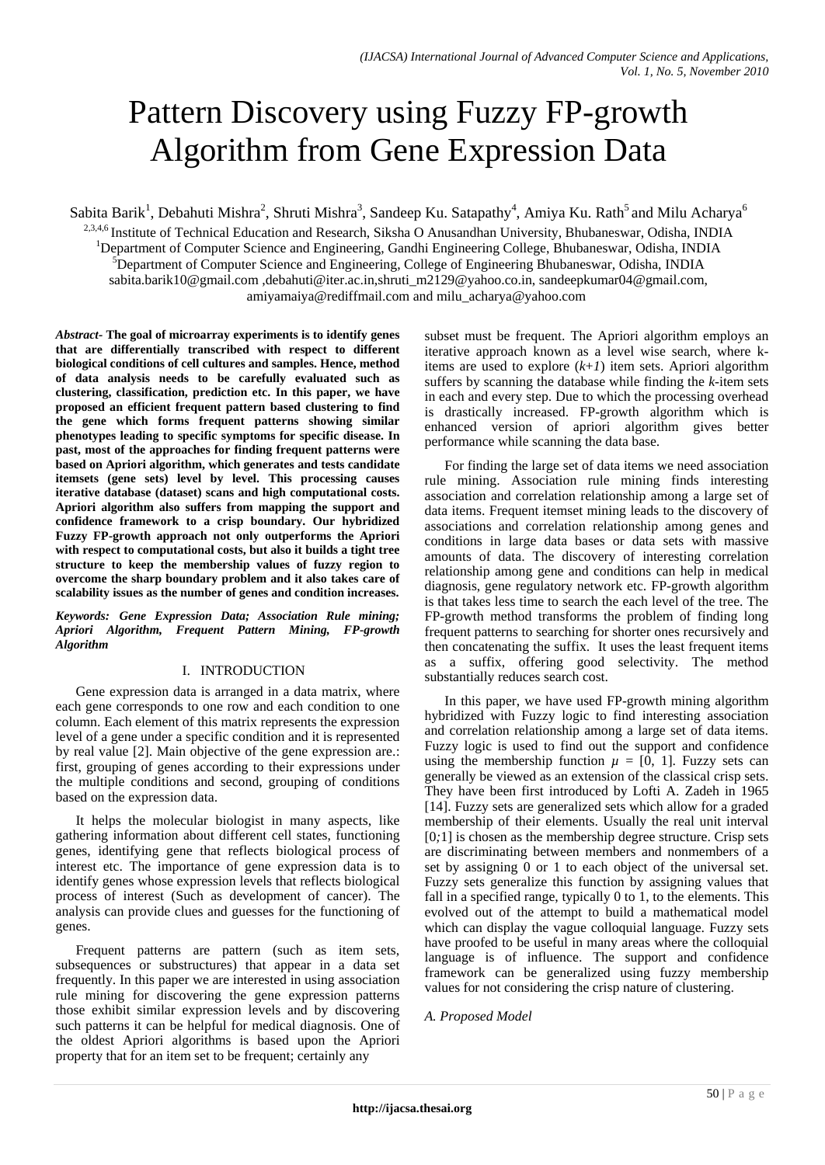# Pattern Discovery using Fuzzy FP-growth Algorithm from Gene Expression Data

Sabita Barik<sup>1</sup>, Debahuti Mishra<sup>2</sup>, Shruti Mishra<sup>3</sup>, Sandeep Ku. Satapathy<sup>4</sup>, Amiya Ku. Rath<sup>5</sup> and Milu Acharya<sup>6</sup> <sup>2,3,4,6</sup> Institute of Technical Education and Research, Siksha O Anusandhan University, Bhubaneswar, Odisha, INDIA <sup>1</sup>Department of Computer Science and Engineering, Gandhi Engineering College, Bhubaneswar, Odisha, INDIA <sup>5</sup>Department of Computer Science and Engineering, College of Engineering Bhubaneswar, Odisha, INDIA sabita.barik10@gmail.com ,debahuti@iter.ac.in,shruti\_m2129@yahoo.co.in, sandeepkumar04@gmail.com, amiyamaiya@rediffmail.com and milu\_acharya@yahoo.com

*Abstract-* **The goal of microarray experiments is to identify genes that are differentially transcribed with respect to different biological conditions of cell cultures and samples. Hence, method of data analysis needs to be carefully evaluated such as clustering, classification, prediction etc. In this paper, we have proposed an efficient frequent pattern based clustering to find the gene which forms frequent patterns showing similar phenotypes leading to specific symptoms for specific disease. In past, most of the approaches for finding frequent patterns were based on Apriori algorithm, which generates and tests candidate itemsets (gene sets) level by level. This processing causes iterative database (dataset) scans and high computational costs. Apriori algorithm also suffers from mapping the support and confidence framework to a crisp boundary. Our hybridized Fuzzy FP-growth approach not only outperforms the Apriori with respect to computational costs, but also it builds a tight tree structure to keep the membership values of fuzzy region to overcome the sharp boundary problem and it also takes care of scalability issues as the number of genes and condition increases.** 

*Keywords: Gene Expression Data; Association Rule mining; Apriori Algorithm, Frequent Pattern Mining, FP-growth Algorithm*

### I. INTRODUCTION

Gene expression data is arranged in a data matrix, where each gene corresponds to one row and each condition to one column. Each element of this matrix represents the expression level of a gene under a specific condition and it is represented by real value [2]. Main objective of the gene expression are.: first, grouping of genes according to their expressions under the multiple conditions and second, grouping of conditions based on the expression data.

It helps the molecular biologist in many aspects, like gathering information about different cell states, functioning genes, identifying gene that reflects biological process of interest etc. The importance of gene expression data is to identify genes whose expression levels that reflects biological process of interest (Such as development of cancer). The analysis can provide clues and guesses for the functioning of genes.

Frequent patterns are pattern (such as item sets, subsequences or substructures) that appear in a data set frequently. In this paper we are interested in using association rule mining for discovering the gene expression patterns those exhibit similar expression levels and by discovering such patterns it can be helpful for medical diagnosis. One of the oldest Apriori algorithms is based upon the Apriori property that for an item set to be frequent; certainly any

subset must be frequent. The Apriori algorithm employs an iterative approach known as a level wise search, where kitems are used to explore  $(k+1)$  item sets. Apriori algorithm suffers by scanning the database while finding the *k*-item sets in each and every step. Due to which the processing overhead is drastically increased. FP-growth algorithm which is enhanced version of apriori algorithm gives better performance while scanning the data base.

For finding the large set of data items we need association rule mining. Association rule mining finds interesting association and correlation relationship among a large set of data items. Frequent itemset mining leads to the discovery of associations and correlation relationship among genes and conditions in large data bases or data sets with massive amounts of data. The discovery of interesting correlation relationship among gene and conditions can help in medical diagnosis, gene regulatory network etc. FP-growth algorithm is that takes less time to search the each level of the tree. The FP-growth method transforms the problem of finding long frequent patterns to searching for shorter ones recursively and then concatenating the suffix. It uses the least frequent items as a suffix, offering good selectivity. The method substantially reduces search cost.

In this paper, we have used FP-growth mining algorithm hybridized with Fuzzy logic to find interesting association and correlation relationship among a large set of data items. Fuzzy logic is used to find out the support and confidence using the membership function  $\mu = [0, 1]$ . Fuzzy sets can generally be viewed as an extension of the classical crisp sets. They have been first introduced by Lofti A. Zadeh in 1965 [14]. Fuzzy sets are generalized sets which allow for a graded membership of their elements. Usually the real unit interval [0*;*1] is chosen as the membership degree structure. Crisp sets are discriminating between members and nonmembers of a set by assigning 0 or 1 to each object of the universal set. Fuzzy sets generalize this function by assigning values that fall in a specified range, typically 0 to 1, to the elements. This evolved out of the attempt to build a mathematical model which can display the vague colloquial language. Fuzzy sets have proofed to be useful in many areas where the colloquial language is of influence. The support and confidence framework can be generalized using fuzzy membership values for not considering the crisp nature of clustering.

### *A. Proposed Model*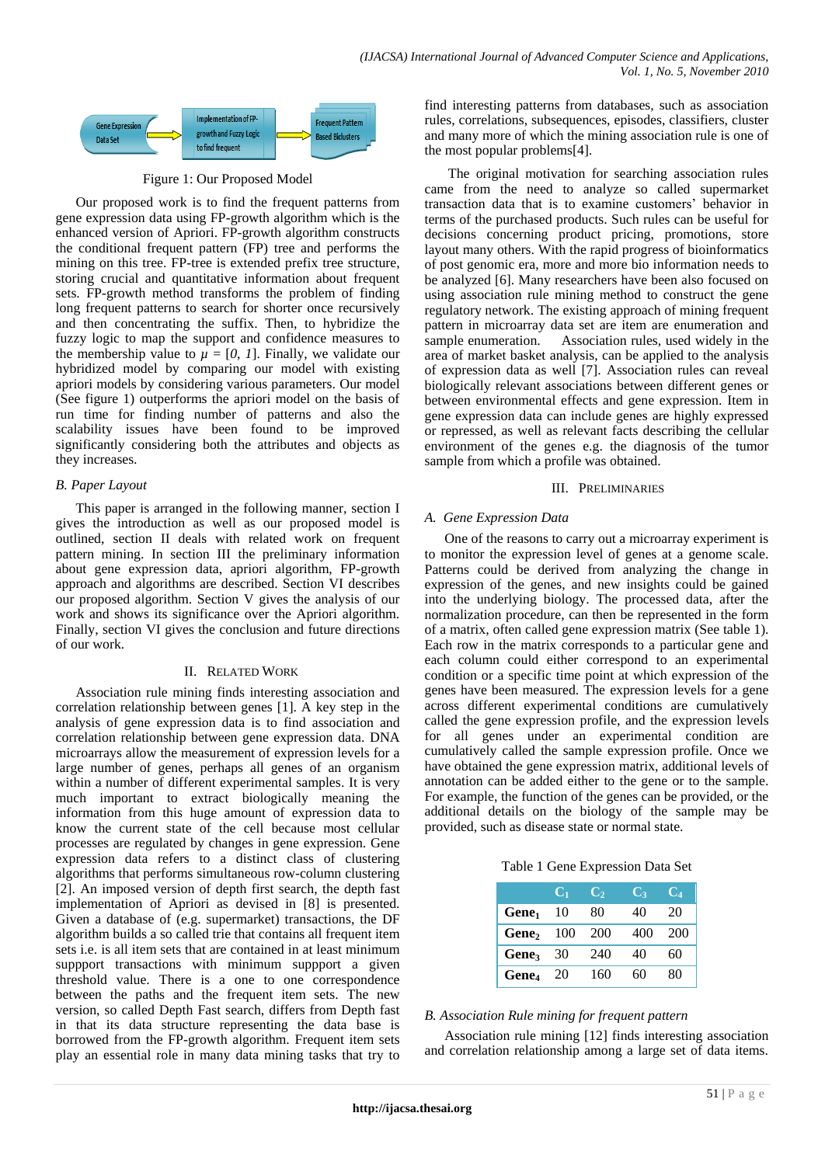

#### Figure 1: Our Proposed Model

Our proposed work is to find the frequent patterns from gene expression data using FP-growth algorithm which is the enhanced version of Apriori. FP-growth algorithm constructs the conditional frequent pattern (FP) tree and performs the mining on this tree. FP-tree is extended prefix tree structure, storing crucial and quantitative information about frequent sets. FP-growth method transforms the problem of finding long frequent patterns to search for shorter once recursively and then concentrating the suffix. Then, to hybridize the fuzzy logic to map the support and confidence measures to the membership value to  $\mu = [0, 1]$ . Finally, we validate our hybridized model by comparing our model with existing apriori models by considering various parameters. Our model (See figure 1) outperforms the apriori model on the basis of run time for finding number of patterns and also the scalability issues have been found to be improved significantly considering both the attributes and objects as they increases.

#### *B. Paper Layout*

This paper is arranged in the following manner, section I gives the introduction as well as our proposed model is outlined, section II deals with related work on frequent pattern mining. In section III the preliminary information about gene expression data, apriori algorithm, FP-growth approach and algorithms are described. Section VI describes our proposed algorithm. Section V gives the analysis of our work and shows its significance over the Apriori algorithm. Finally, section VI gives the conclusion and future directions of our work.

#### II. RELATED WORK

Association rule mining finds interesting association and correlation relationship between genes [1]. A key step in the analysis of gene expression data is to find association and correlation relationship between gene expression data. DNA microarrays allow the measurement of expression levels for a large number of genes, perhaps all genes of an organism within a number of different experimental samples. It is very much important to extract biologically meaning the information from this huge amount of expression data to know the current state of the cell because most cellular processes are regulated by changes in gene expression. Gene expression data refers to a distinct class of clustering algorithms that performs simultaneous row-column clustering [2]. An imposed version of depth first search, the depth fast implementation of Apriori as devised in [8] is presented. Given a database of (e.g. supermarket) transactions, the DF algorithm builds a so called trie that contains all frequent item sets i.e. is all item sets that are contained in at least minimum suppport transactions with minimum suppport a given threshold value. There is a one to one correspondence between the paths and the frequent item sets. The new version, so called Depth Fast search, differs from Depth fast in that its data structure representing the data base is borrowed from the FP-growth algorithm. Frequent item sets play an essential role in many data mining tasks that try to

find interesting patterns from databases, such as association rules, correlations, subsequences, episodes, classifiers, cluster and many more of which the mining association rule is one of the most popular problems[4].

The original motivation for searching association rules came from the need to analyze so called supermarket transaction data that is to examine customers" behavior in terms of the purchased products. Such rules can be useful for decisions concerning product pricing, promotions, store layout many others. With the rapid progress of bioinformatics of post genomic era, more and more bio information needs to be analyzed [6]. Many researchers have been also focused on using association rule mining method to construct the gene regulatory network. The existing approach of mining frequent pattern in microarray data set are item are enumeration and sample enumeration. Association rules, used widely in the area of market basket analysis, can be applied to the analysis of expression data as well [7]. Association rules can reveal biologically relevant associations between different genes or between environmental effects and gene expression. Item in gene expression data can include genes are highly expressed or repressed, as well as relevant facts describing the cellular environment of the genes e.g. the diagnosis of the tumor sample from which a profile was obtained.

#### III. PRELIMINARIES

### *A. Gene Expression Data*

One of the reasons to carry out a microarray experiment is to monitor the expression level of genes at a genome scale. Patterns could be derived from analyzing the change in expression of the genes, and new insights could be gained into the underlying biology. The processed data, after the normalization procedure, can then be represented in the form of a matrix, often called gene expression matrix (See table 1). Each row in the matrix corresponds to a particular gene and each column could either correspond to an experimental condition or a specific time point at which expression of the genes have been measured. The expression levels for a gene across different experimental conditions are cumulatively called the gene expression profile, and the expression levels for all genes under an experimental condition are cumulatively called the sample expression profile. Once we have obtained the gene expression matrix, additional levels of annotation can be added either to the gene or to the sample. For example, the function of the genes can be provided, or the additional details on the biology of the sample may be provided, such as disease state or normal state.

Table 1 Gene Expression Data Set

|                   | C,  | C,  | U3  | C4  |
|-------------------|-----|-----|-----|-----|
| Gene <sub>1</sub> | 10  | 80  | 40  | 20  |
| Gene <sub>2</sub> | 100 | 200 | 400 | 200 |
| Gene <sub>3</sub> | 30  | 240 | 40  | 60  |
| Gene <sub>4</sub> | 20  | 160 | 60  | 80  |

### *B. Association Rule mining for frequent pattern*

Association rule mining [12] finds interesting association and correlation relationship among a large set of data items.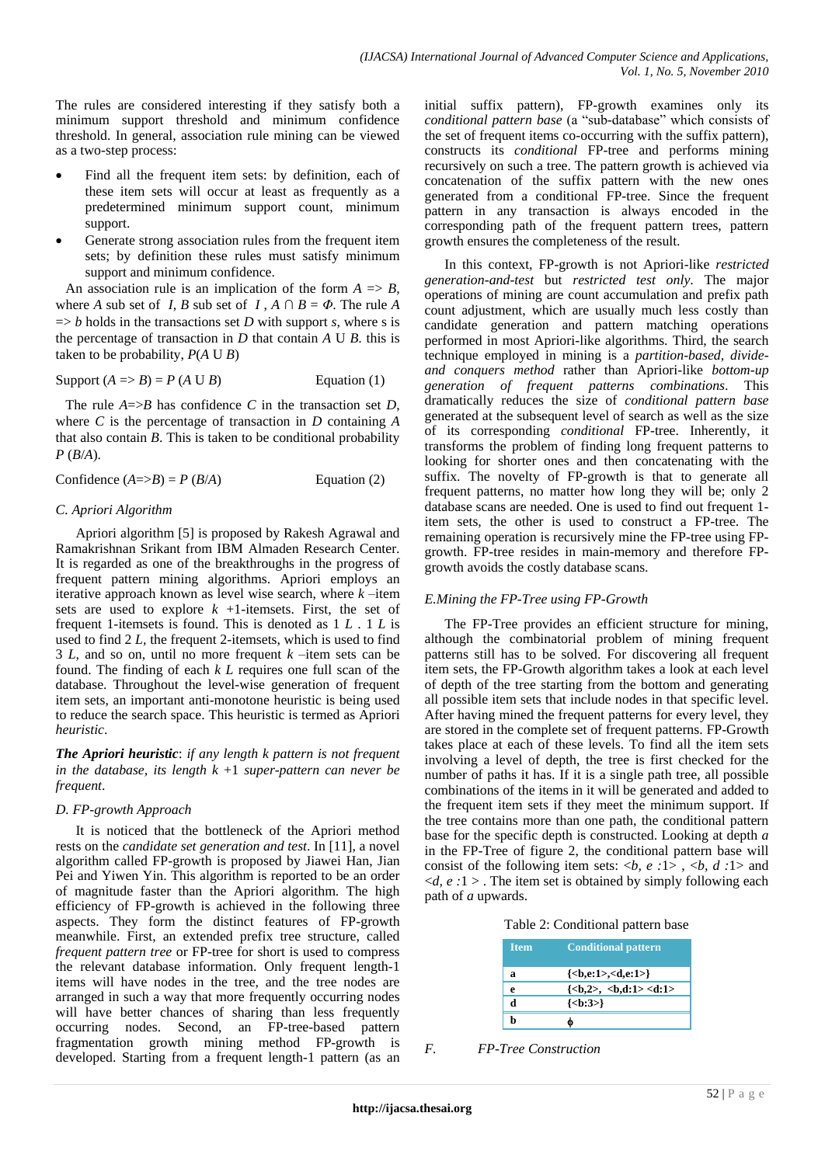The rules are considered interesting if they satisfy both a minimum support threshold and minimum confidence threshold. In general, association rule mining can be viewed as a two-step process:

- Find all the frequent item sets: by definition, each of these item sets will occur at least as frequently as a predetermined minimum support count, minimum support.
- Generate strong association rules from the frequent item sets; by definition these rules must satisfy minimum support and minimum confidence.

An association rule is an implication of the form  $A \Rightarrow B$ , where *A* sub set of *I*, *B* sub set of *I*,  $A \cap B = \Phi$ . The rule *A*  $\Rightarrow$  *b* holds in the transactions set *D* with support *s*, where *s* is the percentage of transaction in *D* that contain *A* U *B*. this is taken to be probability,  $P(A \cup B)$ 

$$
Support (A \Rightarrow B) = P (A \cup B)
$$
 Equation (1)

The rule  $A \Rightarrow B$  has confidence *C* in the transaction set *D*, where *C* is the percentage of transaction in *D* containing *A* that also contain *B*. This is taken to be conditional probability *P* (*B*/*A*).

Confidence 
$$
(A=\gt B) = P(B/A)
$$
 Equation (2)

### *C. Apriori Algorithm*

Apriori algorithm [5] is proposed by Rakesh Agrawal and Ramakrishnan Srikant from IBM Almaden Research Center. It is regarded as one of the breakthroughs in the progress of frequent pattern mining algorithms. Apriori employs an iterative approach known as level wise search, where *k* –item sets are used to explore  $k + 1$ -itemsets. First, the set of frequent 1-itemsets is found. This is denoted as 1 *L* . 1 *L* is used to find 2 *L,* the frequent 2-itemsets, which is used to find 3 *L,* and so on, until no more frequent *k* –item sets can be found. The finding of each *k L* requires one full scan of the database. Throughout the level-wise generation of frequent item sets, an important anti-monotone heuristic is being used to reduce the search space. This heuristic is termed as Apriori *heuristic*.

*The Apriori heuristic*: *if any length k pattern is not frequent in the database, its length k* +1 *super-pattern can never be frequent*.

### *D. FP-growth Approach*

It is noticed that the bottleneck of the Apriori method rests on the *candidate set generation and test*. In [11], a novel algorithm called FP-growth is proposed by Jiawei Han, Jian Pei and Yiwen Yin. This algorithm is reported to be an order of magnitude faster than the Apriori algorithm. The high efficiency of FP-growth is achieved in the following three aspects. They form the distinct features of FP-growth meanwhile. First, an extended prefix tree structure, called *frequent pattern tree* or FP-tree for short is used to compress the relevant database information. Only frequent length-1 items will have nodes in the tree, and the tree nodes are arranged in such a way that more frequently occurring nodes will have better chances of sharing than less frequently occurring nodes. Second, an FP-tree-based pattern fragmentation growth mining method FP-growth is developed. Starting from a frequent length-1 pattern (as an

initial suffix pattern), FP-growth examines only its *conditional pattern base* (a "sub-database" which consists of the set of frequent items co-occurring with the suffix pattern), constructs its *conditional* FP-tree and performs mining recursively on such a tree. The pattern growth is achieved via concatenation of the suffix pattern with the new ones generated from a conditional FP-tree. Since the frequent pattern in any transaction is always encoded in the corresponding path of the frequent pattern trees, pattern growth ensures the completeness of the result.

In this context, FP-growth is not Apriori-like *restricted generation-and-test* but *restricted test only*. The major operations of mining are count accumulation and prefix path count adjustment, which are usually much less costly than candidate generation and pattern matching operations performed in most Apriori-like algorithms. Third, the search technique employed in mining is a *partition-based, divideand conquers method* rather than Apriori-like *bottom-up generation of frequent patterns combinations*. This dramatically reduces the size of *conditional pattern base*  generated at the subsequent level of search as well as the size of its corresponding *conditional* FP-tree. Inherently, it transforms the problem of finding long frequent patterns to looking for shorter ones and then concatenating with the suffix. The novelty of FP-growth is that to generate all frequent patterns, no matter how long they will be; only 2 database scans are needed. One is used to find out frequent 1 item sets, the other is used to construct a FP-tree. The remaining operation is recursively mine the FP-tree using FPgrowth. FP-tree resides in main-memory and therefore FPgrowth avoids the costly database scans.

### *E.Mining the FP-Tree using FP-Growth*

The FP-Tree provides an efficient structure for mining, although the combinatorial problem of mining frequent patterns still has to be solved. For discovering all frequent item sets, the FP-Growth algorithm takes a look at each level of depth of the tree starting from the bottom and generating all possible item sets that include nodes in that specific level. After having mined the frequent patterns for every level, they are stored in the complete set of frequent patterns. FP-Growth takes place at each of these levels. To find all the item sets involving a level of depth, the tree is first checked for the number of paths it has. If it is a single path tree, all possible combinations of the items in it will be generated and added to the frequent item sets if they meet the minimum support. If the tree contains more than one path, the conditional pattern base for the specific depth is constructed. Looking at depth *a*  in the FP-Tree of figure 2, the conditional pattern base will consist of the following item sets: <*b, e :*1> , <*b, d :*1> and <*d, e :*1 > . The item set is obtained by simply following each path of *a* upwards.

Table 2: Conditional pattern base

| <b>Item</b> | <b>Conditional pattern</b>                                                     |
|-------------|--------------------------------------------------------------------------------|
| a           | $\{\langle b,e:1>,$                                                            |
| e           | $\{\langle b, 2 \rangle, \langle b, d \rangle : 1 \rangle \langle d \rangle\}$ |
|             | $\{\langle b:3\rangle\}$                                                       |
|             |                                                                                |

*F. FP-Tree Construction*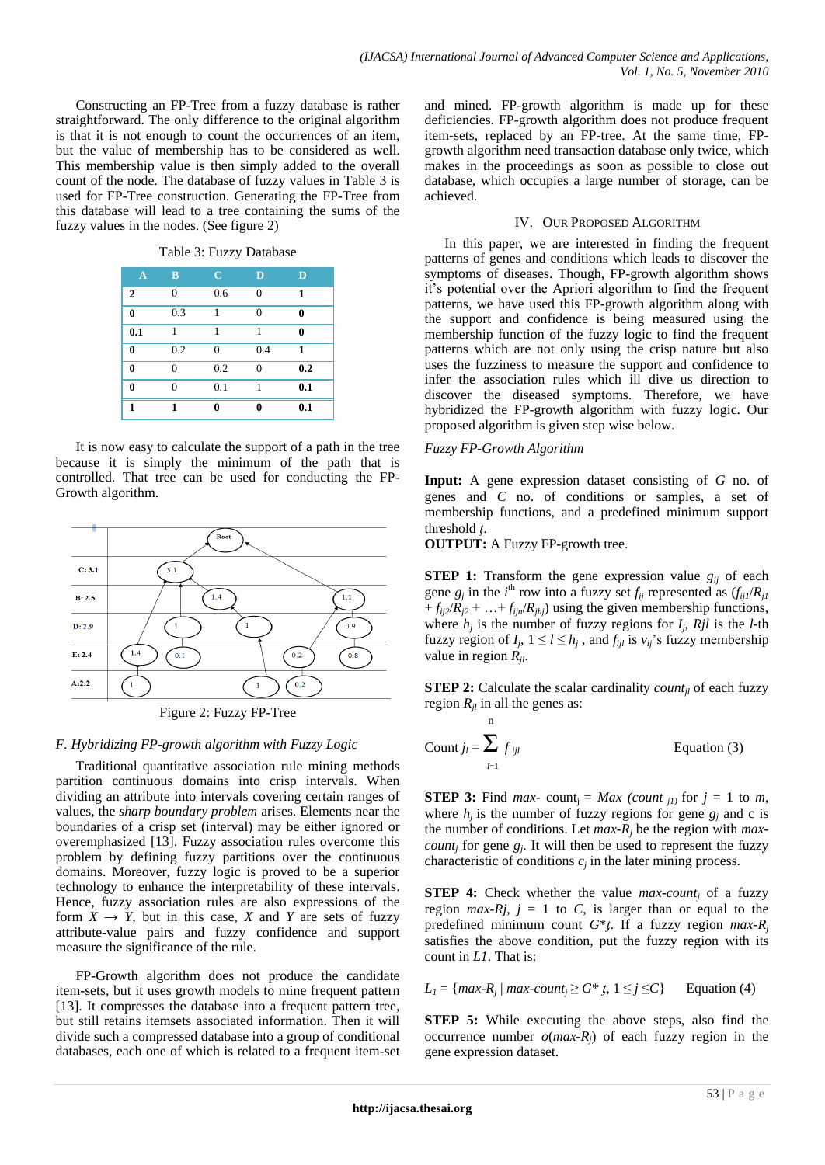Constructing an FP-Tree from a fuzzy database is rather straightforward. The only difference to the original algorithm is that it is not enough to count the occurrences of an item, but the value of membership has to be considered as well. This membership value is then simply added to the overall count of the node. The database of fuzzy values in Table 3 is used for FP-Tree construction. Generating the FP-Tree from this database will lead to a tree containing the sums of the fuzzy values in the nodes. (See figure 2)

Table 3: Fuzzy Database

| $\mathbf{A}$ | B        | $\mathbf C$ | D              | D        |
|--------------|----------|-------------|----------------|----------|
| $\mathbf{2}$ | $\Omega$ | 0.6         | $\overline{0}$ | 1        |
| $\bf{0}$     | 0.3      | 1           | $\theta$       | 0        |
| 0.1          | 1        | 1           | 1              | $\bf{0}$ |
| $\bf{0}$     | 0.2      | $\theta$    | 0.4            | 1        |
| $\bf{0}$     | 0        | 0.2         | $\theta$       | 0.2      |
| $\bf{0}$     | $\Omega$ | 0.1         | 1              | 0.1      |
| 1            | 1        | 0           | 0              | 0.1      |

It is now easy to calculate the support of a path in the tree because it is simply the minimum of the path that is controlled. That tree can be used for conducting the FP-Growth algorithm.



Figure 2: Fuzzy FP-Tree

## *F. Hybridizing FP-growth algorithm with Fuzzy Logic*

Traditional quantitative association rule mining methods partition continuous domains into crisp intervals. When dividing an attribute into intervals covering certain ranges of values, the *sharp boundary problem* arises. Elements near the boundaries of a crisp set (interval) may be either ignored or overemphasized [13]. Fuzzy association rules overcome this problem by defining fuzzy partitions over the continuous domains. Moreover, fuzzy logic is proved to be a superior technology to enhance the interpretability of these intervals. Hence, fuzzy association rules are also expressions of the form  $X \rightarrow Y$ , but in this case, *X* and *Y* are sets of fuzzy attribute-value pairs and fuzzy confidence and support measure the significance of the rule.

FP-Growth algorithm does not produce the candidate item-sets, but it uses growth models to mine frequent pattern [13]. It compresses the database into a frequent pattern tree, but still retains itemsets associated information. Then it will divide such a compressed database into a group of conditional databases, each one of which is related to a frequent item-set and mined. FP-growth algorithm is made up for these deficiencies. FP-growth algorithm does not produce frequent item-sets, replaced by an FP-tree. At the same time, FPgrowth algorithm need transaction database only twice, which makes in the proceedings as soon as possible to close out database, which occupies a large number of storage, can be achieved.

## IV. OUR PROPOSED ALGORITHM

In this paper, we are interested in finding the frequent patterns of genes and conditions which leads to discover the symptoms of diseases. Though, FP-growth algorithm shows it"s potential over the Apriori algorithm to find the frequent patterns, we have used this FP-growth algorithm along with the support and confidence is being measured using the membership function of the fuzzy logic to find the frequent patterns which are not only using the crisp nature but also uses the fuzziness to measure the support and confidence to infer the association rules which ill dive us direction to discover the diseased symptoms. Therefore, we have hybridized the FP-growth algorithm with fuzzy logic. Our proposed algorithm is given step wise below.

## *Fuzzy FP-Growth Algorithm*

n

**Input:** A gene expression dataset consisting of *G* no. of genes and *C* no. of conditions or samples, a set of membership functions, and a predefined minimum support threshold *t*.

**OUTPUT:** A Fuzzy FP-growth tree.

**STEP 1:** Transform the gene expression value  $g_{ij}$  of each gene  $g_j$  in the *i*<sup>th</sup> row into a fuzzy set  $f_{ij}$  represented as  $(f_{ij}/R_{jl})$  $+f_{ij2}/R_{j2} + ... + f_{ijn}/R_{jhj}$  using the given membership functions, where  $h_j$  is the number of fuzzy regions for  $I_j$ ,  $Rjl$  is the *l*-th fuzzy region of  $I_j$ ,  $1 \le l \le h_j$ , and  $f_{ijl}$  is  $v_{ij}$ 's fuzzy membership value in region *Rjl*.

**STEP 2:** Calculate the scalar cardinality *count<sub>il</sub>* of each fuzzy region  $R_{il}$  in all the genes as:

Count 
$$
j_l = \sum_{l=1}^{l} f_{ijl}
$$
 Equation (3)

**STEP 3:** Find *max*- count<sub>i</sub> = *Max (count j1)* for  $j = 1$  to *m*, where  $h_i$  is the number of fuzzy regions for gene  $g_i$  and c is the number of conditions. Let *max-R<sup>j</sup>* be the region with *maxcount<sub>j</sub>* for gene  $g_j$ . It will then be used to represent the fuzzy characteristic of conditions  $c_j$  in the later mining process.

**STEP 4:** Check whether the value *max-count<sub>i</sub>* of a fuzzy region  $max-Rj$ ,  $j = 1$  to *C*, is larger than or equal to the predefined minimum count  $G^*$ *ţ*. If a fuzzy region  $max-R_j$ satisfies the above condition, put the fuzzy region with its count in *L1*. That is:

 $L_1 = \{max-R_j \mid max\text{-}count_j \ge G^* \mid t, 1 \le j \le C\}$  Equation (4)

**STEP 5:** While executing the above steps, also find the occurrence number  $o(max-R_i)$  of each fuzzy region in the gene expression dataset.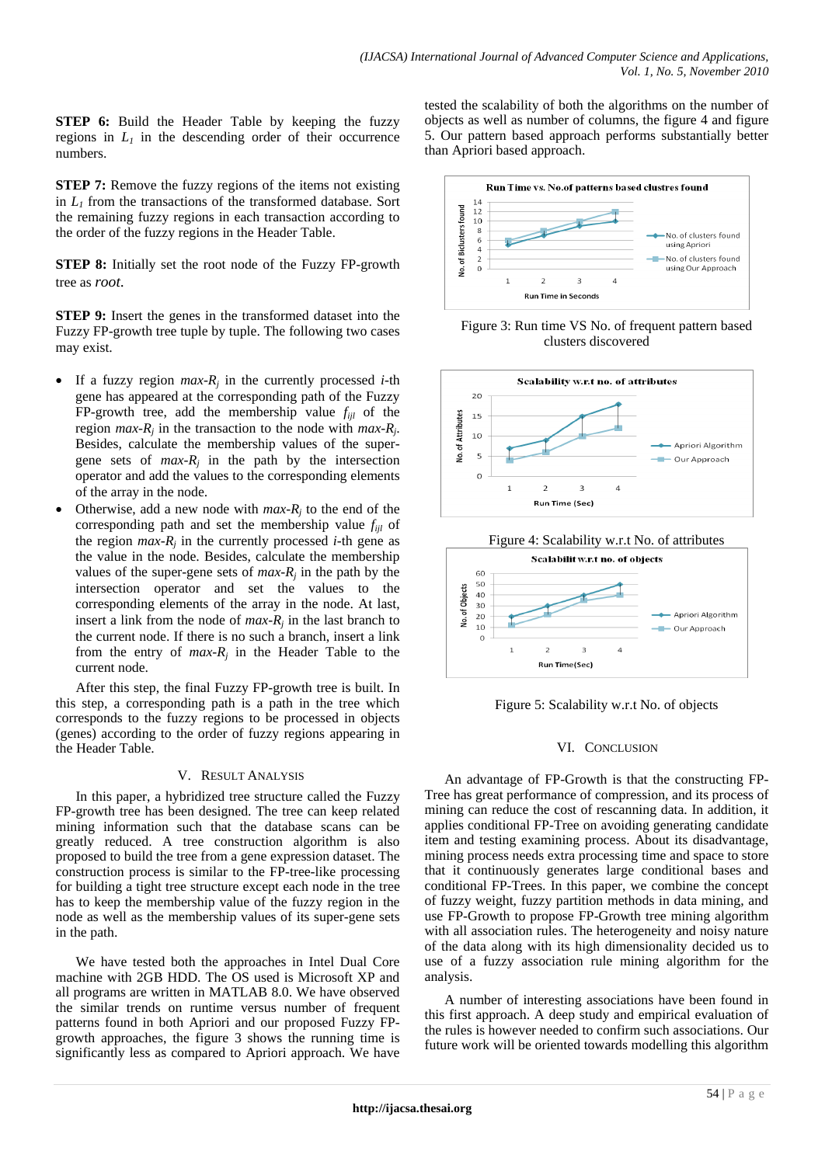**STEP 6:** Build the Header Table by keeping the fuzzy regions in  $L_1$  in the descending order of their occurrence numbers.

**STEP 7:** Remove the fuzzy regions of the items not existing in  $L<sub>1</sub>$  from the transactions of the transformed database. Sort the remaining fuzzy regions in each transaction according to the order of the fuzzy regions in the Header Table.

**STEP 8:** Initially set the root node of the Fuzzy FP-growth tree as *root*.

**STEP 9:** Insert the genes in the transformed dataset into the Fuzzy FP-growth tree tuple by tuple. The following two cases may exist.

- If a fuzzy region  $max-R_j$  in the currently processed *i*-th gene has appeared at the corresponding path of the Fuzzy FP-growth tree, add the membership value  $f_{ijl}$  of the region  $max-R_j$  in the transaction to the node with  $max-R_j$ . Besides, calculate the membership values of the supergene sets of  $max-R_j$  in the path by the intersection operator and add the values to the corresponding elements of the array in the node.
- Otherwise, add a new node with  $max-R_j$  to the end of the corresponding path and set the membership value *fijl* of the region  $max-R_j$  in the currently processed *i*-th gene as the value in the node. Besides, calculate the membership values of the super-gene sets of  $max-R_j$  in the path by the intersection operator and set the values to the corresponding elements of the array in the node. At last, insert a link from the node of  $max-R_j$  in the last branch to the current node. If there is no such a branch, insert a link from the entry of  $max-R_j$  in the Header Table to the current node.

After this step, the final Fuzzy FP-growth tree is built. In this step, a corresponding path is a path in the tree which corresponds to the fuzzy regions to be processed in objects (genes) according to the order of fuzzy regions appearing in the Header Table.

#### V. RESULT ANALYSIS

In this paper, a hybridized tree structure called the Fuzzy FP-growth tree has been designed. The tree can keep related mining information such that the database scans can be greatly reduced. A tree construction algorithm is also proposed to build the tree from a gene expression dataset. The construction process is similar to the FP-tree-like processing for building a tight tree structure except each node in the tree has to keep the membership value of the fuzzy region in the node as well as the membership values of its super-gene sets in the path.

We have tested both the approaches in Intel Dual Core machine with 2GB HDD. The OS used is Microsoft XP and all programs are written in MATLAB 8.0. We have observed the similar trends on runtime versus number of frequent patterns found in both Apriori and our proposed Fuzzy FPgrowth approaches, the figure 3 shows the running time is significantly less as compared to Apriori approach. We have tested the scalability of both the algorithms on the number of objects as well as number of columns, the figure 4 and figure 5. Our pattern based approach performs substantially better than Apriori based approach.



Figure 3: Run time VS No. of frequent pattern based clusters discovered





Figure 5: Scalability w.r.t No. of objects

### VI. CONCLUSION

An advantage of FP-Growth is that the constructing FP-Tree has great performance of compression, and its process of mining can reduce the cost of rescanning data. In addition, it applies conditional FP-Tree on avoiding generating candidate item and testing examining process. About its disadvantage, mining process needs extra processing time and space to store that it continuously generates large conditional bases and conditional FP-Trees. In this paper, we combine the concept of fuzzy weight, fuzzy partition methods in data mining, and use FP-Growth to propose FP-Growth tree mining algorithm with all association rules. The heterogeneity and noisy nature of the data along with its high dimensionality decided us to use of a fuzzy association rule mining algorithm for the analysis.

A number of interesting associations have been found in this first approach. A deep study and empirical evaluation of the rules is however needed to confirm such associations. Our future work will be oriented towards modelling this algorithm